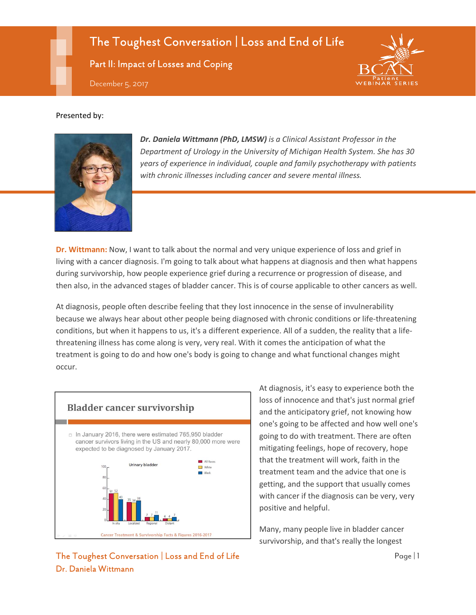# The Toughest Conversation | Loss and End of Life

Part II: Impact of Losses and Coping



#### Presented by:



*Dr. Daniela Wittmann (PhD, LMSW) is a Clinical Assistant Professor in the Department of Urology in the University of Michigan Health System. She has 30 years of experience in individual, couple and family psychotherapy with patients with chronic illnesses including cancer and severe mental illness.*

**Dr. Wittmann:** Now, I want to talk about the normal and very unique experience of loss and grief in living with a cancer diagnosis. I'm going to talk about what happens at diagnosis and then what happens during survivorship, how people experience grief during a recurrence or progression of disease, and then also, in the advanced stages of bladder cancer. This is of course applicable to other cancers as well.

At diagnosis, people often describe feeling that they lost innocence in the sense of invulnerability because we always hear about other people being diagnosed with chronic conditions or life-threatening conditions, but when it happens to us, it's a different experience. All of a sudden, the reality that a lifethreatening illness has come along is very, very real. With it comes the anticipation of what the treatment is going to do and how one's body is going to change and what functional changes might occur.



At diagnosis, it's easy to experience both the loss of innocence and that's just normal grief and the anticipatory grief, not knowing how one's going to be affected and how well one's going to do with treatment. There are often mitigating feelings, hope of recovery, hope that the treatment will work, faith in the treatment team and the advice that one is getting, and the support that usually comes with cancer if the diagnosis can be very, very positive and helpful.

Many, many people live in bladder cancer survivorship, and that's really the longest

### The Toughest Conversation | Loss and End of Life Page | 1 Dr. Daniela Wittmann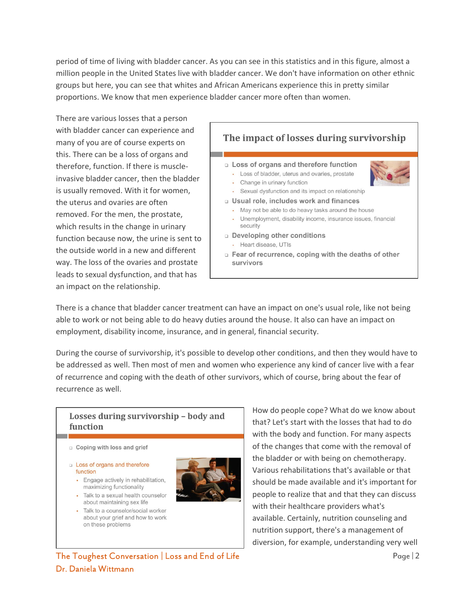period of time of living with bladder cancer. As you can see in this statistics and in this figure, almost a million people in the United States live with bladder cancer. We don't have information on other ethnic groups but here, you can see that whites and African Americans experience this in pretty similar proportions. We know that men experience bladder cancer more often than women.

There are various losses that a person with bladder cancer can experience and many of you are of course experts on this. There can be a loss of organs and therefore, function. If there is muscleinvasive bladder cancer, then the bladder is usually removed. With it for women, the uterus and ovaries are often removed. For the men, the prostate, which results in the change in urinary function because now, the urine is sent to the outside world in a new and different way. The loss of the ovaries and prostate leads to sexual dysfunction, and that has an impact on the relationship.



There is a chance that bladder cancer treatment can have an impact on one's usual role, like not being able to work or not being able to do heavy duties around the house. It also can have an impact on employment, disability income, insurance, and in general, financial security.

During the course of survivorship, it's possible to develop other conditions, and then they would have to be addressed as well. Then most of men and women who experience any kind of cancer live with a fear of recurrence and coping with the death of other survivors, which of course, bring about the fear of recurrence as well.

#### Losses during survivorship - body and function

- $\Box$  Coping with loss and grief
- **Loss of organs and therefore** function
	- Engage actively in rehabilitation, maximizing functionality
	- Talk to a sexual health counselor about maintaining sex life
	- · Talk to a counselor/social worker about your grief and how to work on these problems



How do people cope? What do we know about that? Let's start with the losses that had to do with the body and function. For many aspects of the changes that come with the removal of the bladder or with being on chemotherapy. Various rehabilitations that's available or that should be made available and it's important for people to realize that and that they can discuss with their healthcare providers what's available. Certainly, nutrition counseling and nutrition support, there's a management of diversion, for example, understanding very well

# The Toughest Conversation | Loss and End of Life  $\frac{1}{2}$ Dr. Daniela Wittmann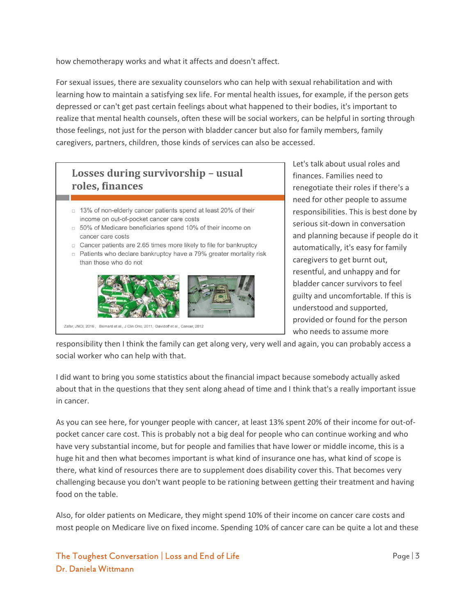how chemotherapy works and what it affects and doesn't affect.

For sexual issues, there are sexuality counselors who can help with sexual rehabilitation and with learning how to maintain a satisfying sex life. For mental health issues, for example, if the person gets depressed or can't get past certain feelings about what happened to their bodies, it's important to realize that mental health counsels, often these will be social workers, can be helpful in sorting through those feelings, not just for the person with bladder cancer but also for family members, family caregivers, partners, children, those kinds of services can also be accessed.

# Losses during survivorship - usual roles, finances □ 13% of non-elderly cancer patients spend at least 20% of their income on out-of-pocket cancer care costs □ 50% of Medicare beneficiaries spend 10% of their income on cancer care costs □ Cancer patients are 2.65 times more likely to file for bankruptcy p Patients who declare bankruptcy have a 79% greater mortality risk than those who do not



Zafar, JNCI, 2016, Bernard et al., J Clin Onc, 2011, Davidoff et al., Cancer, 2012

Let's talk about usual roles and finances. Families need to renegotiate their roles if there's a need for other people to assume responsibilities. This is best done by serious sit-down in conversation and planning because if people do it automatically, it's easy for family caregivers to get burnt out, resentful, and unhappy and for bladder cancer survivors to feel guilty and uncomfortable. If this is understood and supported, provided or found for the person who needs to assume more

responsibility then I think the family can get along very, very well and again, you can probably access a social worker who can help with that.

I did want to bring you some statistics about the financial impact because somebody actually asked about that in the questions that they sent along ahead of time and I think that's a really important issue in cancer.

As you can see here, for younger people with cancer, at least 13% spent 20% of their income for out-ofpocket cancer care cost. This is probably not a big deal for people who can continue working and who have very substantial income, but for people and families that have lower or middle income, this is a huge hit and then what becomes important is what kind of insurance one has, what kind of scope is there, what kind of resources there are to supplement does disability cover this. That becomes very challenging because you don't want people to be rationing between getting their treatment and having food on the table.

Also, for older patients on Medicare, they might spend 10% of their income on cancer care costs and most people on Medicare live on fixed income. Spending 10% of cancer care can be quite a lot and these

# The Toughest Conversation | Loss and End of Life  $\blacksquare$   $\blacksquare$  Page | 3 Dr. Daniela Wittmann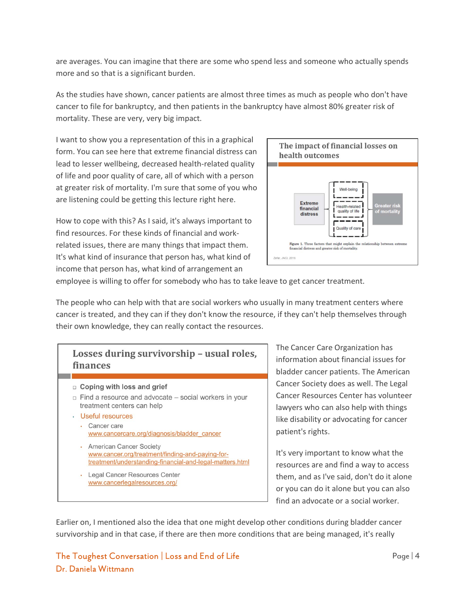are averages. You can imagine that there are some who spend less and someone who actually spends more and so that is a significant burden.

As the studies have shown, cancer patients are almost three times as much as people who don't have cancer to file for bankruptcy, and then patients in the bankruptcy have almost 80% greater risk of mortality. These are very, very big impact.

I want to show you a representation of this in a graphical form. You can see here that extreme financial distress can lead to lesser wellbeing, decreased health-related quality of life and poor quality of care, all of which with a person at greater risk of mortality. I'm sure that some of you who are listening could be getting this lecture right here.

How to cope with this? As I said, it's always important to find resources. For these kinds of financial and workrelated issues, there are many things that impact them. It's what kind of insurance that person has, what kind of income that person has, what kind of arrangement an



employee is willing to offer for somebody who has to take leave to get cancer treatment.

The people who can help with that are social workers who usually in many treatment centers where cancer is treated, and they can if they don't know the resource, if they can't help themselves through their own knowledge, they can really contact the resources.

# Losses during survivorship - usual roles, finances  $\Box$  Coping with loss and grief  $\Box$  Find a resource and advocate  $-$  social workers in your treatment centers can help · Useful resources • Cancer care www.cancercare.org/diagnosis/bladder\_cancer • American Cancer Society www.cancer.org/treatment/finding-and-paying-fortreatment/understanding-financial-and-legal-matters.html · Legal Cancer Resources Center www.cancerlegalresources.org/

The Cancer Care Organization has information about financial issues for bladder cancer patients. The American Cancer Society does as well. The Legal Cancer Resources Center has volunteer lawyers who can also help with things like disability or advocating for cancer patient's rights.

It's very important to know what the resources are and find a way to access them, and as I've said, don't do it alone or you can do it alone but you can also find an advocate or a social worker.

Earlier on, I mentioned also the idea that one might develop other conditions during bladder cancer survivorship and in that case, if there are then more conditions that are being managed, it's really

## The Toughest Conversation | Loss and End of Life  $\blacksquare$  Page | 4 Dr. Daniela Wittmann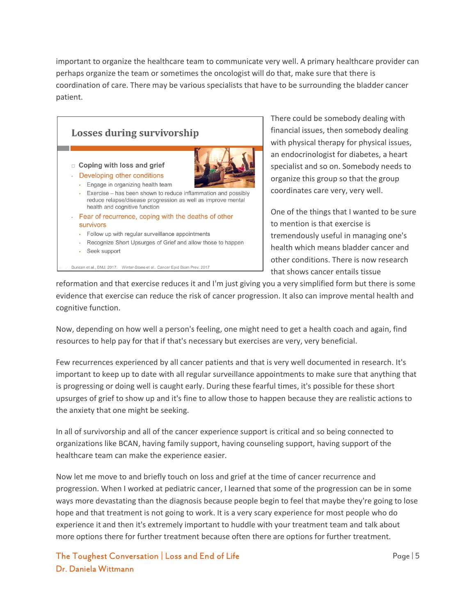important to organize the healthcare team to communicate very well. A primary healthcare provider can perhaps organize the team or sometimes the oncologist will do that, make sure that there is coordination of care. There may be various specialists that have to be surrounding the bladder cancer patient.



There could be somebody dealing with financial issues, then somebody dealing with physical therapy for physical issues, an endocrinologist for diabetes, a heart specialist and so on. Somebody needs to organize this group so that the group coordinates care very, very well.

One of the things that I wanted to be sure to mention is that exercise is tremendously useful in managing one's health which means bladder cancer and other conditions. There is now research that shows cancer entails tissue

reformation and that exercise reduces it and I'm just giving you a very simplified form but there is some evidence that exercise can reduce the risk of cancer progression. It also can improve mental health and cognitive function.

Now, depending on how well a person's feeling, one might need to get a health coach and again, find resources to help pay for that if that's necessary but exercises are very, very beneficial.

Few recurrences experienced by all cancer patients and that is very well documented in research. It's important to keep up to date with all regular surveillance appointments to make sure that anything that is progressing or doing well is caught early. During these fearful times, it's possible for these short upsurges of grief to show up and it's fine to allow those to happen because they are realistic actions to the anxiety that one might be seeking.

In all of survivorship and all of the cancer experience support is critical and so being connected to organizations like BCAN, having family support, having counseling support, having support of the healthcare team can make the experience easier.

Now let me move to and briefly touch on loss and grief at the time of cancer recurrence and progression. When I worked at pediatric cancer, I learned that some of the progression can be in some ways more devastating than the diagnosis because people begin to feel that maybe they're going to lose hope and that treatment is not going to work. It is a very scary experience for most people who do experience it and then it's extremely important to huddle with your treatment team and talk about more options there for further treatment because often there are options for further treatment.

The Toughest Conversation | Loss and End of Life  $\blacksquare$   $\blacksquare$  Page | 5 Dr. Daniela Wittmann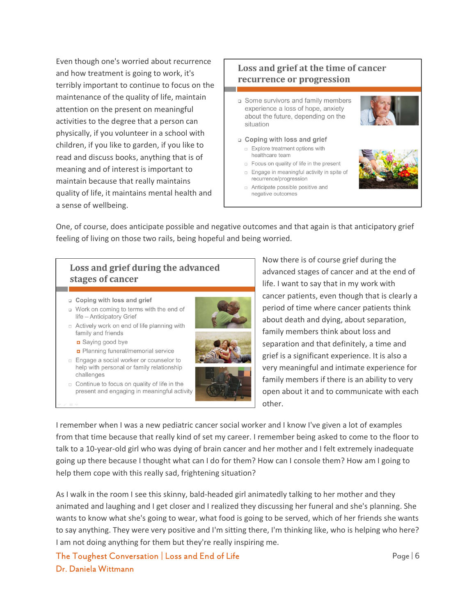Even though one's worried about recurrence and how treatment is going to work, it's terribly important to continue to focus on the maintenance of the quality of life, maintain attention on the present on meaningful activities to the degree that a person can physically, if you volunteer in a school with children, if you like to garden, if you like to read and discuss books, anything that is of meaning and of interest is important to maintain because that really maintains quality of life, it maintains mental health and a sense of wellbeing.

### Loss and grief at the time of cancer recurrence or progression

- a Some survivors and family members experience a loss of hope, anxiety about the future, depending on the situation
- n Coping with loss and grief Explore treatment options with
	- healthcare team
	- p Focus on quality of life in the present **Engage in meaningful activity in spite of** recurrence/progression
	- n Anticipate possible positive and negative outcomes





One, of course, does anticipate possible and negative outcomes and that again is that anticipatory grief feeling of living on those two rails, being hopeful and being worried.

### Loss and grief during the advanced stages of cancer

- a Coping with loss and grief
- u Work on coming to terms with the end of life - Anticipatory Grief
- □ Actively work on end of life planning with family and friends
	- Saying good bye
	- Planning funeral/memorial service
- □ Engage a social worker or counselor to help with personal or family relationship challenges
- c Continue to focus on quality of life in the present and engaging in meaningful activity



Now there is of course grief during the advanced stages of cancer and at the end of life. I want to say that in my work with cancer patients, even though that is clearly a period of time where cancer patients think about death and dying, about separation, family members think about loss and separation and that definitely, a time and grief is a significant experience. It is also a very meaningful and intimate experience for family members if there is an ability to very open about it and to communicate with each other.

I remember when I was a new pediatric cancer social worker and I know I've given a lot of examples from that time because that really kind of set my career. I remember being asked to come to the floor to talk to a 10-year-old girl who was dying of brain cancer and her mother and I felt extremely inadequate going up there because I thought what can I do for them? How can I console them? How am I going to help them cope with this really sad, frightening situation?

As I walk in the room I see this skinny, bald-headed girl animatedly talking to her mother and they animated and laughing and I get closer and I realized they discussing her funeral and she's planning. She wants to know what she's going to wear, what food is going to be served, which of her friends she wants to say anything. They were very positive and I'm sitting there, I'm thinking like, who is helping who here? I am not doing anything for them but they're really inspiring me.

The Toughest Conversation | Loss and End of Life  $\frac{1}{2}$  Page | 6 Dr. Daniela Wittmann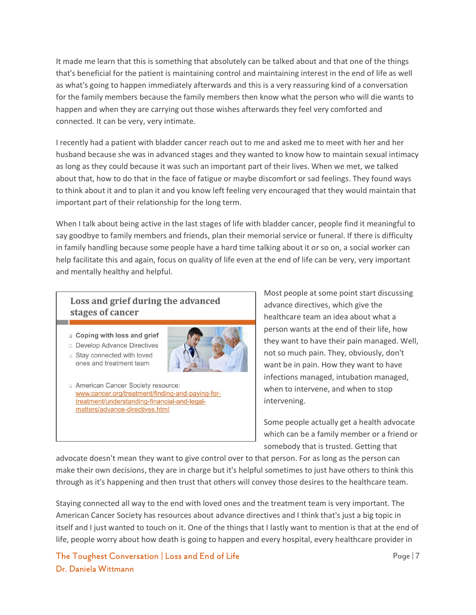It made me learn that this is something that absolutely can be talked about and that one of the things that's beneficial for the patient is maintaining control and maintaining interest in the end of life as well as what's going to happen immediately afterwards and this is a very reassuring kind of a conversation for the family members because the family members then know what the person who will die wants to happen and when they are carrying out those wishes afterwards they feel very comforted and connected. It can be very, very intimate.

I recently had a patient with bladder cancer reach out to me and asked me to meet with her and her husband because she was in advanced stages and they wanted to know how to maintain sexual intimacy as long as they could because it was such an important part of their lives. When we met, we talked about that, how to do that in the face of fatigue or maybe discomfort or sad feelings. They found ways to think about it and to plan it and you know left feeling very encouraged that they would maintain that important part of their relationship for the long term.

When I talk about being active in the last stages of life with bladder cancer, people find it meaningful to say goodbye to family members and friends, plan their memorial service or funeral. If there is difficulty in family handling because some people have a hard time talking about it or so on, a social worker can help facilitate this and again, focus on quality of life even at the end of life can be very, very important and mentally healthy and helpful.

### Loss and grief during the advanced stages of cancer

**Q** Coping with loss and grief



Stay connected with loved ones and treatment team



American Cancer Society resource: www.cancer.org/treatment/finding-and-paying-fortreatment/understanding-financial-and-legalmatters/advance-directives.html

Most people at some point start discussing advance directives, which give the healthcare team an idea about what a person wants at the end of their life, how they want to have their pain managed. Well, not so much pain. They, obviously, don't want be in pain. How they want to have infections managed, intubation managed, when to intervene, and when to stop intervening.

Some people actually get a health advocate which can be a family member or a friend or somebody that is trusted. Getting that

advocate doesn't mean they want to give control over to that person. For as long as the person can make their own decisions, they are in charge but it's helpful sometimes to just have others to think this through as it's happening and then trust that others will convey those desires to the healthcare team.

Staying connected all way to the end with loved ones and the treatment team is very important. The American Cancer Society has resources about advance directives and I think that's just a big topic in itself and I just wanted to touch on it. One of the things that I lastly want to mention is that at the end of life, people worry about how death is going to happen and every hospital, every healthcare provider in

The Toughest Conversation | Loss and End of Life  $\blacksquare$  Page | 7 Dr. Daniela Wittmann